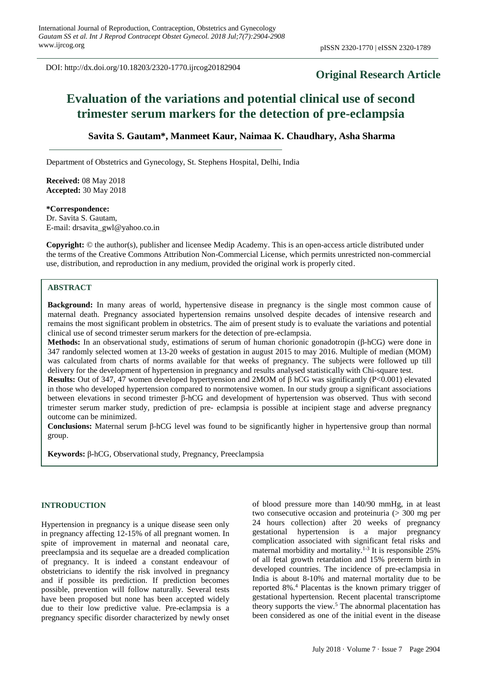DOI: http://dx.doi.org/10.18203/2320-1770.ijrcog20182904

# **Original Research Article**

# **Evaluation of the variations and potential clinical use of second trimester serum markers for the detection of pre-eclampsia**

## **Savita S. Gautam\*, Manmeet Kaur, Naimaa K. Chaudhary, Asha Sharma**

Department of Obstetrics and Gynecology, St. Stephens Hospital, Delhi, India

**Received:** 08 May 2018 **Accepted:** 30 May 2018

#### **\*Correspondence:**

Dr. Savita S. Gautam, E-mail: drsavita\_gwl@yahoo.co.in

**Copyright:** © the author(s), publisher and licensee Medip Academy. This is an open-access article distributed under the terms of the Creative Commons Attribution Non-Commercial License, which permits unrestricted non-commercial use, distribution, and reproduction in any medium, provided the original work is properly cited.

## **ABSTRACT**

**Background:** In many areas of world, hypertensive disease in pregnancy is the single most common cause of maternal death. Pregnancy associated hypertension remains unsolved despite decades of intensive research and remains the most significant problem in obstetrics. The aim of present study is to evaluate the variations and potential clinical use of second trimester serum markers for the detection of pre-eclampsia.

**Methods:** In an observational study, estimations of serum of human chorionic gonadotropin (β-hCG) were done in 347 randomly selected women at 13-20 weeks of gestation in august 2015 to may 2016. Multiple of median (MOM) was calculated from charts of norms available for that weeks of pregnancy. The subjects were followed up till delivery for the development of hypertension in pregnancy and results analysed statistically with Chi-square test.

**Results:** Out of 347, 47 women developed hypertyension and 2MOM of β hCG was significantly (P<0.001) elevated in those who developed hypertension compared to normotensive women. In our study group a significant associations between elevations in second trimester β-hCG and development of hypertension was observed. Thus with second trimester serum marker study, prediction of pre- eclampsia is possible at incipient stage and adverse pregnancy outcome can be minimized.

**Conclusions:** Maternal serum β-hCG level was found to be significantly higher in hypertensive group than normal group.

**Keywords:** β-hCG, Observational study, Pregnancy, Preeclampsia

### **INTRODUCTION**

Hypertension in pregnancy is a unique disease seen only in pregnancy affecting 12-15% of all pregnant women. In spite of improvement in maternal and neonatal care, preeclampsia and its sequelae are a dreaded complication of pregnancy. It is indeed a constant endeavour of obstetricians to identify the risk involved in pregnancy and if possible its prediction. If prediction becomes possible, prevention will follow naturally. Several tests have been proposed but none has been accepted widely due to their low predictive value. Pre-eclampsia is a pregnancy specific disorder characterized by newly onset of blood pressure more than 140/90 mmHg, in at least two consecutive occasion and proteinuria  $(> 300$  mg per 24 hours collection) after 20 weeks of pregnancy gestational hypertension is a major pregnancy complication associated with significant fetal risks and maternal morbidity and mortality.<sup>1-3</sup> It is responsible 25% of all fetal growth retardation and 15% preterm birth in developed countries. The incidence of pre-eclampsia in India is about 8-10% and maternal mortality due to be reported 8%.<sup>4</sup> Placentas is the known primary trigger of gestational hypertension. Recent placental transcriptome theory supports the view.<sup>5</sup> The abnormal placentation has been considered as one of the initial event in the disease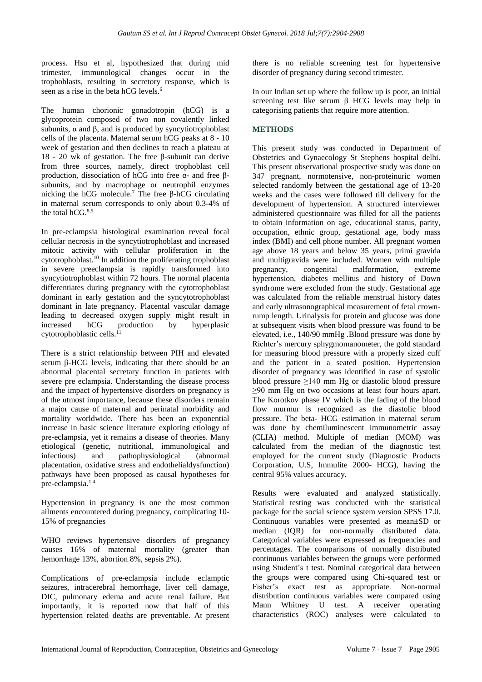process. Hsu et al, hypothesized that during mid trimester, immunological changes occur in the trophoblasts, resulting in secretory response, which is seen as a rise in the beta hCG levels.<sup>6</sup>

The human chorionic gonadotropin (hCG) is a glycoprotein composed of two non covalently linked subunits,  $\alpha$  and  $\beta$ , and is produced by syncytiotrophoblast cells of the placenta. Maternal serum hCG peaks at 8 - 10 week of gestation and then declines to reach a plateau at 18 - 20 wk of gestation. The free β-subunit can derive from three sources, namely, direct trophoblast cell production, dissociation of hCG into free α- and free βsubunits, and by macrophage or neutrophil enzymes nicking the hCG molecule.<sup>7</sup> The free β-hCG circulating in maternal serum corresponds to only about 0.3-4% of the total hCG.<sup>8,9</sup>

In pre-eclampsia histological examination reveal focal cellular necrosis in the syncytiotrophoblast and increased mitotic activity with cellular proliferation in the cytotrophoblast.<sup>10</sup> In addition the proliferating trophoblast in severe preeclampsia is rapidly transformed into syncytiotrophoblast within 72 hours. The normal placenta differentiates during pregnancy with the cytotrophoblast dominant in early gestation and the syncytotrophoblast dominant in late pregnancy. Placental vascular damage leading to decreased oxygen supply might result in increased hCG production by hyperplasic cytotrophoblastic cells. 11

There is a strict relationship between PIH and elevated serum β-HCG levels, indicating that there should be an abnormal placental secretary function in patients with severe pre eclampsia. Understanding the disease process and the impact of hypertensive disorders on pregnancy is of the utmost importance, because these disorders remain a major cause of maternal and perinatal morbidity and mortality worldwide. There has been an exponential increase in basic science literature exploring etiology of pre-eclampsia, yet it remains a disease of theories. Many etiological (genetic, nutritional, immunological and infectious) and pathophysiological (abnormal placentation, oxidative stress and endothelialdysfunction) pathways have been proposed as causal hypotheses for pre-eclampsia.<sup>1,4</sup>

Hypertension in pregnancy is one the most common ailments encountered during pregnancy, complicating 10- 15% of pregnancies

WHO reviews hypertensive disorders of pregnancy causes 16% of maternal mortality (greater than hemorrhage 13%, abortion 8%, sepsis 2%).

Complications of pre-eclampsia include eclamptic seizures, intracerebral hemorrhage, liver cell damage, DIC, pulmonary edema and acute renal failure. But importantly, it is reported now that half of this hypertension related deaths are preventable. At present there is no reliable screening test for hypertensive disorder of pregnancy during second trimester.

In our Indian set up where the follow up is poor, an initial screening test like serum β HCG levels may help in categorising patients that require more attention.

## **METHODS**

This present study was conducted in Department of Obstetrics and Gynaecology St Stephens hospital delhi. This present observational prospective study was done on 347 pregnant, normotensive, non-proteinuric women selected randomly between the gestational age of 13-20 weeks and the cases were followed till delivery for the development of hypertension. A structured interviewer administered questionnaire was filled for all the patients to obtain information on age, educational status, parity, occupation, ethnic group, gestational age, body mass index (BMI) and cell phone number. All pregnant women age above 18 years and below 35 years, primi gravida and multigravida were included. Women with multiple pregnancy, congenital malformation, extreme hypertension, diabetes mellitus and history of Down syndrome were excluded from the study. Gestational age was calculated from the reliable menstrual history dates and early ultrasonographical measurement of fetal crownrump length. Urinalysis for protein and glucose was done at subsequent visits when blood pressure was found to be elevated, i.e., 140/90 mmHg .Blood pressure was done by Richter's mercury sphygmomanometer, the gold standard for measuring blood pressure with a properly sized cuff and the patient in a seated position. Hypertension disorder of pregnancy was identified in case of systolic blood pressure ≥140 mm Hg or diastolic blood pressure ≥90 mm Hg on two occasions at least four hours apart. The Korotkov phase IV which is the fading of the blood flow murmur is recognized as the diastolic blood pressure. The beta- HCG estimation in maternal serum was done by chemiluminescent immunometric assay (CLIA) method. Multiple of median (MOM) was calculated from the median of the diagnostic test employed for the current study (Diagnostic Products Corporation, U.S, Immulite 2000- HCG), having the central 95% values accuracy.

Results were evaluated and analyzed statistically. Statistical testing was conducted with the statistical package for the social science system version SPSS 17.0. Continuous variables were presented as mean±SD or median (IQR) for non-normally distributed data. Categorical variables were expressed as frequencies and percentages. The comparisons of normally distributed continuous variables between the groups were performed using Student's t test. Nominal categorical data between the groups were compared using Chi-squared test or Fisher's exact test as appropriate. Non-normal distribution continuous variables were compared using Mann Whitney U test. A receiver operating characteristics (ROC) analyses were calculated to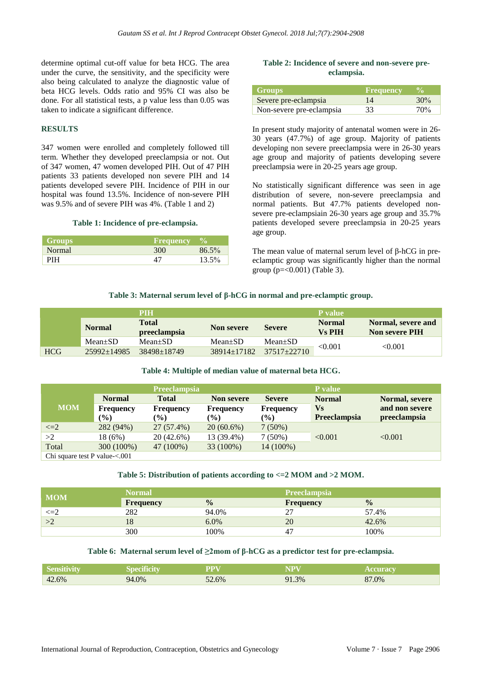determine optimal cut-off value for beta HCG. The area under the curve, the sensitivity, and the specificity were also being calculated to analyze the diagnostic value of beta HCG levels. Odds ratio and 95% CI was also be done. For all statistical tests, a p value less than 0.05 was taken to indicate a significant difference.

#### **RESULTS**

347 women were enrolled and completely followed till term. Whether they developed preeclampsia or not. Out of 347 women, 47 women developed PIH. Out of 47 PIH patients 33 patients developed non severe PIH and 14 patients developed severe PIH. Incidence of PIH in our hospital was found 13.5%. Incidence of non-severe PIH was 9.5% and of severe PIH was 4%. (Table 1 and 2)

#### **Table 1: Incidence of pre-eclampsia.**

| <b>Groups</b> | Frequency |          |
|---------------|-----------|----------|
| <b>Normal</b> | 300       | $86.5\%$ |
| PІН           |           | 13.5%    |

#### **Table 2: Incidence of severe and non-severe preeclampsia.**

| <b>Groups</b>            | <b>Frequency</b> | $\mathcal{V}_0$ |
|--------------------------|------------------|-----------------|
| Severe pre-eclampsia     | 14               | 30%             |
| Non-severe pre-eclampsia | 33               | 70%             |

In present study majority of antenatal women were in 26- 30 years (47.7%) of age group. Majority of patients developing non severe preeclampsia were in 26-30 years age group and majority of patients developing severe preeclampsia were in 20-25 years age group.

No statistically significant difference was seen in age distribution of severe, non-severe preeclampsia and normal patients. But 47.7% patients developed nonsevere pre-eclampsiain 26-30 years age group and 35.7% patients developed severe preeclampsia in 20-25 years age group.

The mean value of maternal serum level of β-hCG in preeclamptic group was significantly higher than the normal group ( $p = 0.001$ ) (Table 3).

#### **Table 3: Maternal serum level of β-hCG in normal and pre-eclamptic group.**

|            | PIH               |                                     |                   |                 | P value                        |                                             |  |
|------------|-------------------|-------------------------------------|-------------------|-----------------|--------------------------------|---------------------------------------------|--|
|            | <b>Normal</b>     | <b>Total</b><br><i>preeclampsia</i> | Non severe        | <b>Severe</b>   | <b>Normal</b><br><b>Vs PIH</b> | Normal, severe and<br><b>Non severe PIH</b> |  |
|            | $Mean \pm SD$     | $Mean+SD$                           | $Mean \pm SD$     | $Mean \pm SD$   | < 0.001                        | < 0.001                                     |  |
| <b>HCG</b> | $25992 \pm 14985$ | $38498 \pm 18749$                   | $38914 \pm 17182$ | $37517 + 22710$ |                                |                                             |  |

#### **Table 4: Multiple of median value of maternal beta HCG.**

|                                               | <b>Preeclampsia</b> |                  |                   |                              | <b>P</b> value      |                |  |
|-----------------------------------------------|---------------------|------------------|-------------------|------------------------------|---------------------|----------------|--|
|                                               | <b>Normal</b>       | <b>Total</b>     | <b>Non severe</b> | <b>Severe</b>                | <b>Normal</b>       | Normal, severe |  |
| <b>MOM</b>                                    | <b>Frequency</b>    | <b>Frequency</b> | <b>Frequency</b>  | <b>Frequency</b>             | <b>Vs</b>           | and non severe |  |
|                                               | $\frac{9}{6}$       | $\mathcal{O}(2)$ | $\mathcal{O}(0)$  | $\left( \frac{9}{6} \right)$ | <b>Preeclampsia</b> | preeclampsia   |  |
| $\leq=2$                                      | 282 (94%)           | 27 (57.4%)       | $20(60.6\%)$      | $7(50\%)$                    |                     |                |  |
| >2                                            | 18 (6%)             | $20(42.6\%)$     | 13 (39.4%)        | $7(50\%)$                    | < 0.001             | < 0.001        |  |
| Total                                         | 300 (100%)          | 47 (100%)        | 33 (100%)         | 14 (100%)                    |                     |                |  |
| $C_{\rm bi}$ cause toot $D$ value $\geq 0.01$ |                     |                  |                   |                              |                     |                |  |

Chi square test P value-<.001

### **Table 5: Distribution of patients according to <=2 MOM and >2 MOM.**

| <b>MOM</b> | Normal    |               | <b>Preeclampsia</b> |               |  |
|------------|-----------|---------------|---------------------|---------------|--|
|            | Frequency | $\frac{0}{0}$ | <b>Frequency</b>    | $\frac{0}{0}$ |  |
| $\leq=2$   | 282       | 94.0%         | ∼                   | 57.4%         |  |
| >2         | 18        | 6.0%          | 20                  | 42.6%         |  |
|            | 300       | 100%          | 47                  | 100%          |  |

#### **Table 6: Maternal serum level of ≥2mom of β-hCG as a predictor test for pre-eclampsia.**

| Si como crist<br>Sensitivit |     | PPY      |      | <b>1999</b> |
|-----------------------------|-----|----------|------|-------------|
| 42.6%                       | .0% | $52.6\%$ | 1.3% | O7<br>0%    |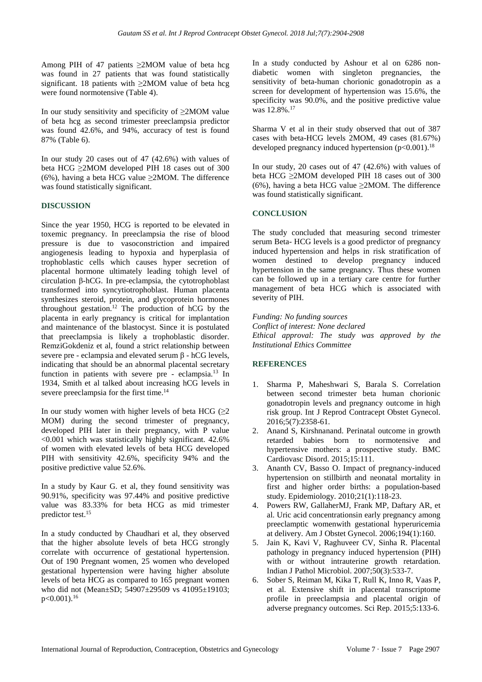Among PIH of 47 patients  $\geq 2MOM$  value of beta hcg was found in 27 patients that was found statistically significant. 18 patients with  $\geq 2MOM$  value of beta hcg were found normotensive (Table 4).

In our study sensitivity and specificity of ≥2MOM value of beta hcg as second trimester preeclampsia predictor was found 42.6%, and 94%, accuracy of test is found 87% (Table 6).

In our study 20 cases out of 47 (42.6%) with values of beta HCG ≥2MOM developed PIH 18 cases out of 300 (6%), having a beta HCG value  $\geq 2MOM$ . The difference was found statistically significant.

## **DISCUSSION**

Since the year 1950, HCG is reported to be elevated in toxemic pregnancy. In preeclampsia the rise of blood pressure is due to vasoconstriction and impaired angiogenesis leading to hypoxia and hyperplasia of trophoblastic cells which causes hyper secretion of placental hormone ultimately leading tohigh level of circulation β-hCG. In pre-eclampsia, the cytotrophoblast transformed into syncytiotrophoblast. Human placenta synthesizes steroid, protein, and glycoprotein hormones throughout gestation.<sup>12</sup> The production of hCG by the placenta in early pregnancy is critical for implantation and maintenance of the blastocyst. Since it is postulated that preeclampsia is likely a trophoblastic disorder. RemziGokdeniz et al, found a strict relationship between severe pre - eclampsia and elevated serum β - hCG levels, indicating that should be an abnormal placental secretary function in patients with severe pre - eclampsia.<sup>13</sup> In 1934, Smith et al talked about increasing hCG levels in severe preeclampsia for the first time.<sup>14</sup>

In our study women with higher levels of beta HCG  $(\geq 2)$ MOM) during the second trimester of pregnancy, developed PIH later in their pregnancy, with P value <0.001 which was statistically highly significant. 42.6% of women with elevated levels of beta HCG developed PIH with sensitivity 42.6%, specificity 94% and the positive predictive value 52.6%.

In a study by Kaur G. et al, they found sensitivity was 90.91%, specificity was 97.44% and positive predictive value was 83.33% for beta HCG as mid trimester predictor test.<sup>15</sup>

In a study conducted by Chaudhari et al, they observed that the higher absolute levels of beta HCG strongly correlate with occurrence of gestational hypertension. Out of 190 Pregnant women, 25 women who developed gestational hypertension were having higher absolute levels of beta HCG as compared to 165 pregnant women who did not (Mean±SD; 54907±29509 vs 41095±19103;  $p<0.001$ ).<sup>16</sup>

In a study conducted by Ashour et al on 6286 nondiabetic women with singleton pregnancies, the sensitivity of beta-human chorionic gonadotropin as a screen for development of hypertension was 15.6%, the specificity was 90.0%, and the positive predictive value was 12.8%.<sup>17</sup>

Sharma V et al in their study observed that out of 387 cases with beta-HCG levels 2MOM, 49 cases (81.67%) developed pregnancy induced hypertension  $(p<0.001)$ .<sup>18</sup>

In our study, 20 cases out of 47 (42.6%) with values of beta HCG ≥2MOM developed PIH 18 cases out of 300 (6%), having a beta HCG value  $\geq 2MOM$ . The difference was found statistically significant.

## **CONCLUSION**

The study concluded that measuring second trimester serum Beta- HCG levels is a good predictor of pregnancy induced hypertension and helps in risk stratification of women destined to develop pregnancy induced hypertension in the same pregnancy. Thus these women can be followed up in a tertiary care centre for further management of beta HCG which is associated with severity of PIH.

*Funding: No funding sources Conflict of interest: None declared Ethical approval: The study was approved by the Institutional Ethics Committee*

## **REFERENCES**

- 1. Sharma P, Maheshwari S, Barala S. Correlation between second trimester beta human chorionic gonadotropin levels and pregnancy outcome in high risk group. Int J Reprod Contracept Obstet Gynecol. 2016;5(7):2358-61.
- 2. Anand S, Kirshnanand. Perinatal outcome in growth retarded babies born to normotensive and hypertensive mothers: a prospective study. BMC Cardiovasc Disord. 2015;15:111.
- 3. Ananth CV, Basso O. Impact of pregnancy-induced hypertension on stillbirth and neonatal mortality in first and higher order births: a population-based study. Epidemiology. 2010;21(1):118-23.
- 4. Powers RW, GallaherMJ, Frank MP, Daftary AR, et al. Uric acid concentrationsin early pregnancy among preeclamptic womenwith gestational hyperuricemia at delivery. Am J Obstet Gynecol. 2006;194(1):160.
- 5. Jain K, Kavi V, Raghuveer CV, Sinha R. Placental pathology in pregnancy induced hypertension (PIH) with or without intrauterine growth retardation. Indian J Pathol Microbiol. 2007;50(3):533-7.
- 6. Sober S, Reiman M, Kika T, Rull K, Inno R, Vaas P, et al. Extensive shift in placental transcriptome profile in preeclampsia and placental origin of adverse pregnancy outcomes. Sci Rep. 2015;5:133-6.